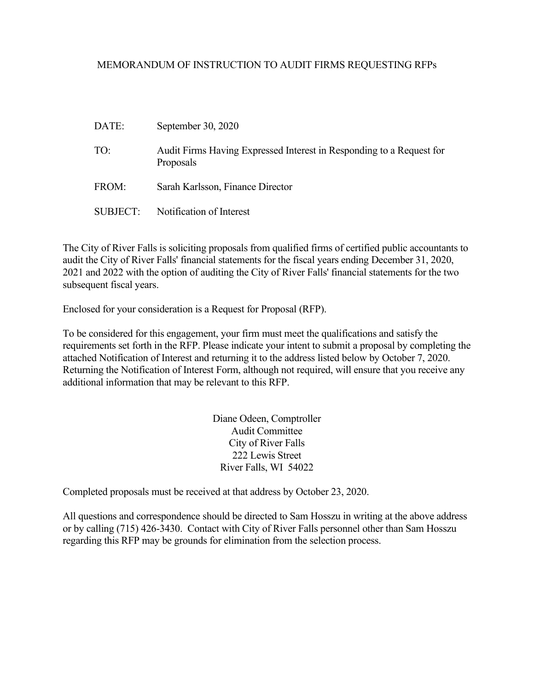#### MEMORANDUM OF INSTRUCTION TO AUDIT FIRMS REQUESTING RFPs

| DATE:           | September 30, 2020                                                                |
|-----------------|-----------------------------------------------------------------------------------|
| TO:             | Audit Firms Having Expressed Interest in Responding to a Request for<br>Proposals |
| FROM:           | Sarah Karlsson, Finance Director                                                  |
| <b>SUBJECT:</b> | Notification of Interest                                                          |

The City of River Falls is soliciting proposals from qualified firms of certified public accountants to audit the City of River Falls' financial statements for the fiscal years ending December 31, 2020, 2021 and 2022 with the option of auditing the City of River Falls' financial statements for the two subsequent fiscal years.

Enclosed for your consideration is a Request for Proposal (RFP).

To be considered for this engagement, your firm must meet the qualifications and satisfy the requirements set forth in the RFP. Please indicate your intent to submit a proposal by completing the attached Notification of Interest and returning it to the address listed below by October 7, 2020. Returning the Notification of Interest Form, although not required, will ensure that you receive any additional information that may be relevant to this RFP.

> Diane Odeen, Comptroller Audit Committee City of River Falls 222 Lewis Street River Falls, WI 54022

Completed proposals must be received at that address by October 23, 2020.

All questions and correspondence should be directed to Sam Hosszu in writing at the above address or by calling (715) 426-3430. Contact with City of River Falls personnel other than Sam Hosszu regarding this RFP may be grounds for elimination from the selection process.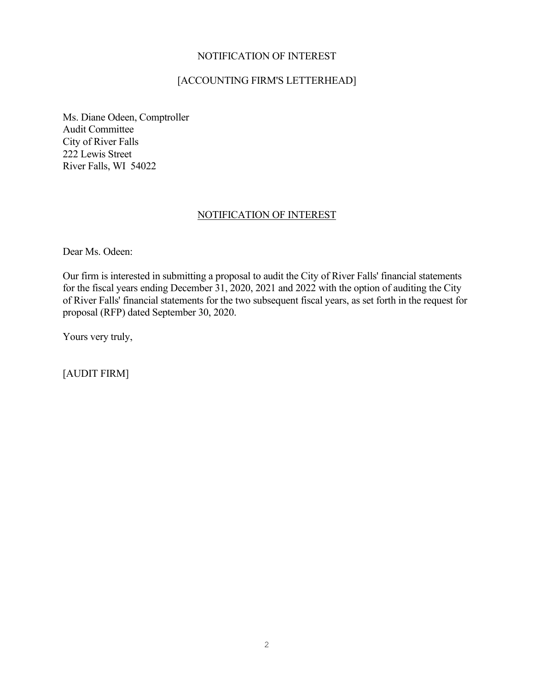#### NOTIFICATION OF INTEREST

# [ACCOUNTING FIRM'S LETTERHEAD]

Ms. Diane Odeen, Comptroller Audit Committee City of River Falls 222 Lewis Street River Falls, WI 54022

### NOTIFICATION OF INTEREST

Dear Ms. Odeen:

Our firm is interested in submitting a proposal to audit the City of River Falls' financial statements for the fiscal years ending December 31, 2020, 2021 and 2022 with the option of auditing the City of River Falls' financial statements for the two subsequent fiscal years, as set forth in the request for proposal (RFP) dated September 30, 2020.

Yours very truly,

[AUDIT FIRM]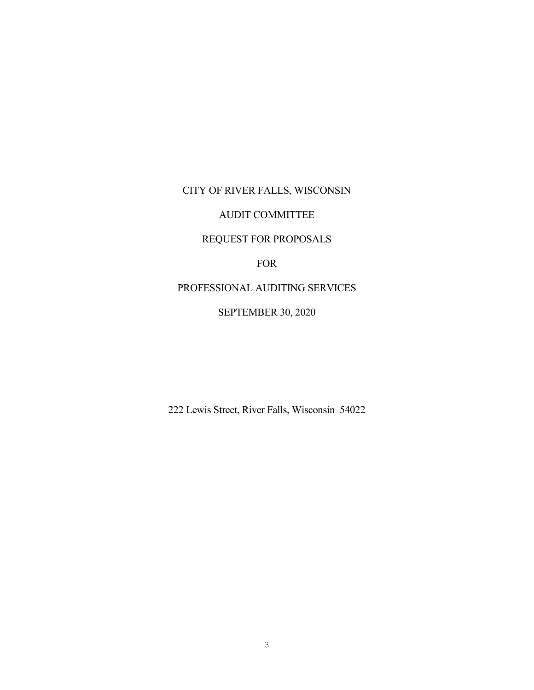# CITY OF RIVER FALLS, WISCONSIN

# AUDIT COMMITTEE

# REQUEST FOR PROPOSALS

FOR

PROFESSIONAL AUDITING SERVICES

### SEPTEMBER 30, 2020

222 Lewis Street, River Falls, Wisconsin 54022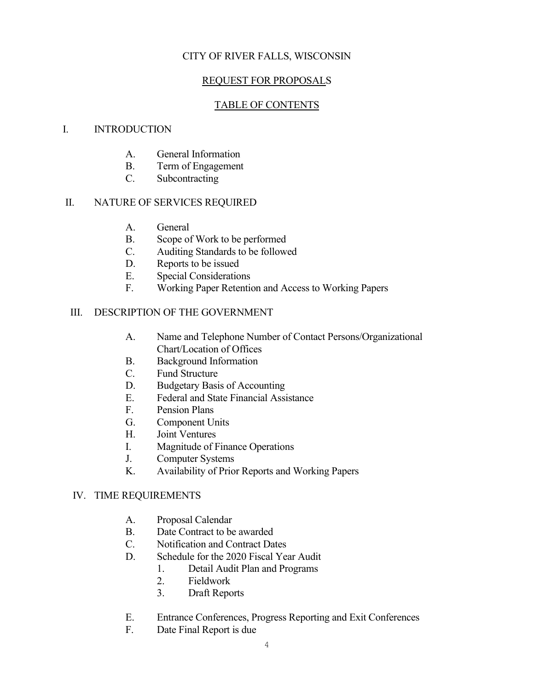# CITY OF RIVER FALLS, WISCONSIN

# REQUEST FOR PROPOSALS

# TABLE OF CONTENTS

### I. INTRODUCTION

- A. General Information
- B. Term of Engagement
- C. Subcontracting

# II. NATURE OF SERVICES REQUIRED

- A. General
- B. Scope of Work to be performed
- C. Auditing Standards to be followed
- D. Reports to be issued
- E. Special Considerations
- F. Working Paper Retention and Access to Working Papers

# III. DESCRIPTION OF THE GOVERNMENT

- A. Name and Telephone Number of Contact Persons/Organizational Chart/Location of Offices
- B. Background Information
- C. Fund Structure
- D. Budgetary Basis of Accounting
- E. Federal and State Financial Assistance
- F. Pension Plans
- G. Component Units
- H. Joint Ventures
- I. Magnitude of Finance Operations
- J. Computer Systems
- K. Availability of Prior Reports and Working Papers

# IV. TIME REQUIREMENTS

- A. Proposal Calendar
- B. Date Contract to be awarded
- C. Notification and Contract Dates
- D. Schedule for the 2020 Fiscal Year Audit
	- 1. Detail Audit Plan and Programs
	- 2. Fieldwork
	- 3. Draft Reports
- E. Entrance Conferences, Progress Reporting and Exit Conferences
- F. Date Final Report is due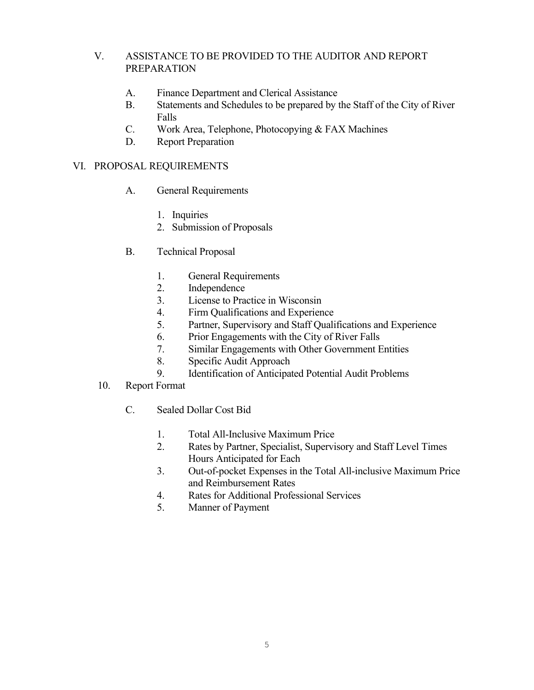# V. ASSISTANCE TO BE PROVIDED TO THE AUDITOR AND REPORT PREPARATION

- A. Finance Department and Clerical Assistance
- B. Statements and Schedules to be prepared by the Staff of the City of River Falls
- C. Work Area, Telephone, Photocopying & FAX Machines
- D. Report Preparation

### VI. PROPOSAL REQUIREMENTS

- A. General Requirements
	- 1. Inquiries
	- 2. Submission of Proposals
- B. Technical Proposal
	- 1. General Requirements
	- 2. Independence
	- 3. License to Practice in Wisconsin
	- 4. Firm Qualifications and Experience
	- 5. Partner, Supervisory and Staff Qualifications and Experience
	- 6. Prior Engagements with the City of River Falls
	- 7. Similar Engagements with Other Government Entities
	- 8. Specific Audit Approach
	- 9. Identification of Anticipated Potential Audit Problems
- 10. Report Format
	- C. Sealed Dollar Cost Bid
		- 1. Total All-Inclusive Maximum Price
		- 2. Rates by Partner, Specialist, Supervisory and Staff Level Times Hours Anticipated for Each
		- 3. Out-of-pocket Expenses in the Total All-inclusive Maximum Price and Reimbursement Rates
		- 4. Rates for Additional Professional Services
		- 5. Manner of Payment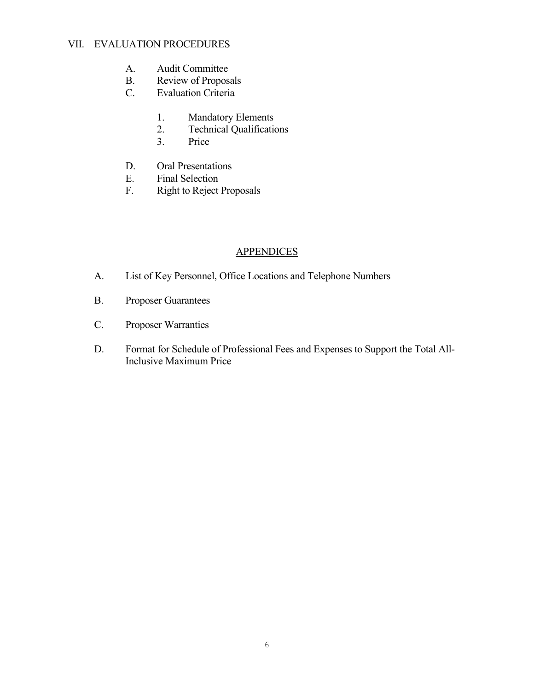# VII. EVALUATION PROCEDURES

- A. Audit Committee
- B. Review of Proposals<br>C. Evaluation Criteria
- Evaluation Criteria
	- 1. Mandatory Elements
	- 2. Technical Qualifications
	- 3. Price
- D. Oral Presentations<br>E. Final Selection
- Final Selection
- F. Right to Reject Proposals

# **APPENDICES**

- A. List of Key Personnel, Office Locations and Telephone Numbers
- B. Proposer Guarantees
- C. Proposer Warranties
- D. Format for Schedule of Professional Fees and Expenses to Support the Total All-Inclusive Maximum Price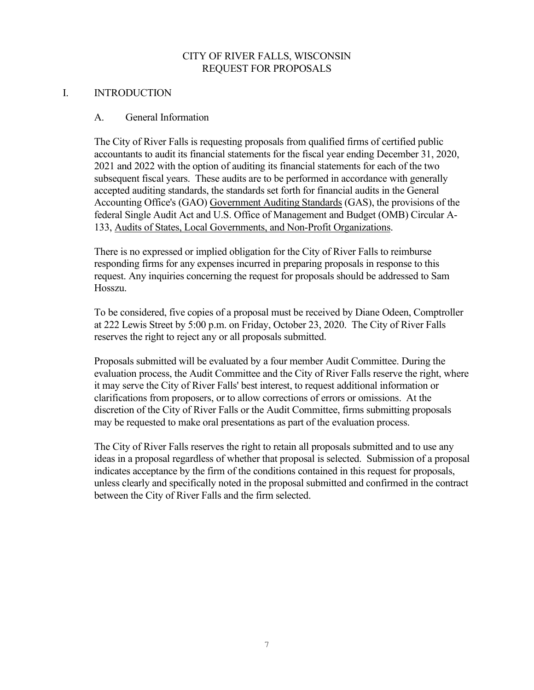# CITY OF RIVER FALLS, WISCONSIN REQUEST FOR PROPOSALS

#### I. INTRODUCTION

#### A. General Information

The City of River Falls is requesting proposals from qualified firms of certified public accountants to audit its financial statements for the fiscal year ending December 31, 2020, 2021 and 2022 with the option of auditing its financial statements for each of the two subsequent fiscal years. These audits are to be performed in accordance with generally accepted auditing standards, the standards set forth for financial audits in the General Accounting Office's (GAO) Government Auditing Standards (GAS), the provisions of the federal Single Audit Act and U.S. Office of Management and Budget (OMB) Circular A-133, Audits of States, Local Governments, and Non-Profit Organizations.

There is no expressed or implied obligation for the City of River Falls to reimburse responding firms for any expenses incurred in preparing proposals in response to this request. Any inquiries concerning the request for proposals should be addressed to Sam Hosszu.

To be considered, five copies of a proposal must be received by Diane Odeen, Comptroller at 222 Lewis Street by 5:00 p.m. on Friday, October 23, 2020. The City of River Falls reserves the right to reject any or all proposals submitted.

Proposals submitted will be evaluated by a four member Audit Committee. During the evaluation process, the Audit Committee and the City of River Falls reserve the right, where it may serve the City of River Falls' best interest, to request additional information or clarifications from proposers, or to allow corrections of errors or omissions. At the discretion of the City of River Falls or the Audit Committee, firms submitting proposals may be requested to make oral presentations as part of the evaluation process.

The City of River Falls reserves the right to retain all proposals submitted and to use any ideas in a proposal regardless of whether that proposal is selected. Submission of a proposal indicates acceptance by the firm of the conditions contained in this request for proposals, unless clearly and specifically noted in the proposal submitted and confirmed in the contract between the City of River Falls and the firm selected.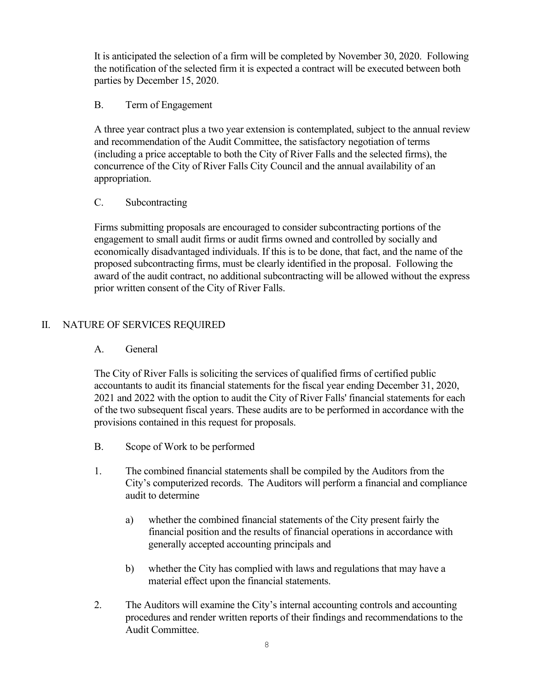It is anticipated the selection of a firm will be completed by November 30, 2020. Following the notification of the selected firm it is expected a contract will be executed between both parties by December 15, 2020.

# B. Term of Engagement

A three year contract plus a two year extension is contemplated, subject to the annual review and recommendation of the Audit Committee, the satisfactory negotiation of terms (including a price acceptable to both the City of River Falls and the selected firms), the concurrence of the City of River Falls City Council and the annual availability of an appropriation.

### C. Subcontracting

Firms submitting proposals are encouraged to consider subcontracting portions of the engagement to small audit firms or audit firms owned and controlled by socially and economically disadvantaged individuals. If this is to be done, that fact, and the name of the proposed subcontracting firms, must be clearly identified in the proposal. Following the award of the audit contract, no additional subcontracting will be allowed without the express prior written consent of the City of River Falls.

# II. NATURE OF SERVICES REQUIRED

#### A. General

The City of River Falls is soliciting the services of qualified firms of certified public accountants to audit its financial statements for the fiscal year ending December 31, 2020, 2021 and 2022 with the option to audit the City of River Falls' financial statements for each of the two subsequent fiscal years. These audits are to be performed in accordance with the provisions contained in this request for proposals.

- B. Scope of Work to be performed
- 1. The combined financial statements shall be compiled by the Auditors from the City's computerized records. The Auditors will perform a financial and compliance audit to determine
	- a) whether the combined financial statements of the City present fairly the financial position and the results of financial operations in accordance with generally accepted accounting principals and
	- b) whether the City has complied with laws and regulations that may have a material effect upon the financial statements.
- 2. The Auditors will examine the City's internal accounting controls and accounting procedures and render written reports of their findings and recommendations to the Audit Committee.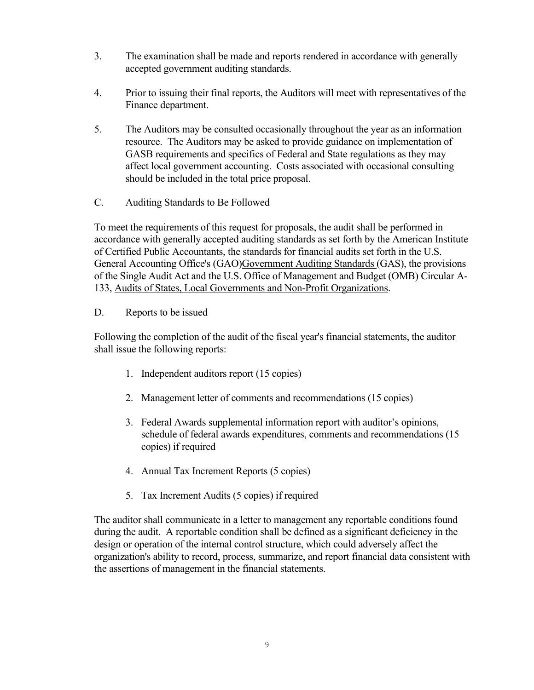- 3. The examination shall be made and reports rendered in accordance with generally accepted government auditing standards.
- 4. Prior to issuing their final reports, the Auditors will meet with representatives of the Finance department.
- 5. The Auditors may be consulted occasionally throughout the year as an information resource. The Auditors may be asked to provide guidance on implementation of GASB requirements and specifics of Federal and State regulations as they may affect local government accounting. Costs associated with occasional consulting should be included in the total price proposal.
- C. Auditing Standards to Be Followed

To meet the requirements of this request for proposals, the audit shall be performed in accordance with generally accepted auditing standards as set forth by the American Institute of Certified Public Accountants, the standards for financial audits set forth in the U.S. General Accounting Office's (GAO)Government Auditing Standards (GAS), the provisions of the Single Audit Act and the U.S. Office of Management and Budget (OMB) Circular A-133, Audits of States, Local Governments and Non-Profit Organizations.

# D. Reports to be issued

Following the completion of the audit of the fiscal year's financial statements, the auditor shall issue the following reports:

- 1. Independent auditors report (15 copies)
- 2. Management letter of comments and recommendations (15 copies)
- 3. Federal Awards supplemental information report with auditor's opinions, schedule of federal awards expenditures, comments and recommendations (15 copies) if required
- 4. Annual Tax Increment Reports (5 copies)
- 5. Tax Increment Audits (5 copies) if required

The auditor shall communicate in a letter to management any reportable conditions found during the audit. A reportable condition shall be defined as a significant deficiency in the design or operation of the internal control structure, which could adversely affect the organization's ability to record, process, summarize, and report financial data consistent with the assertions of management in the financial statements.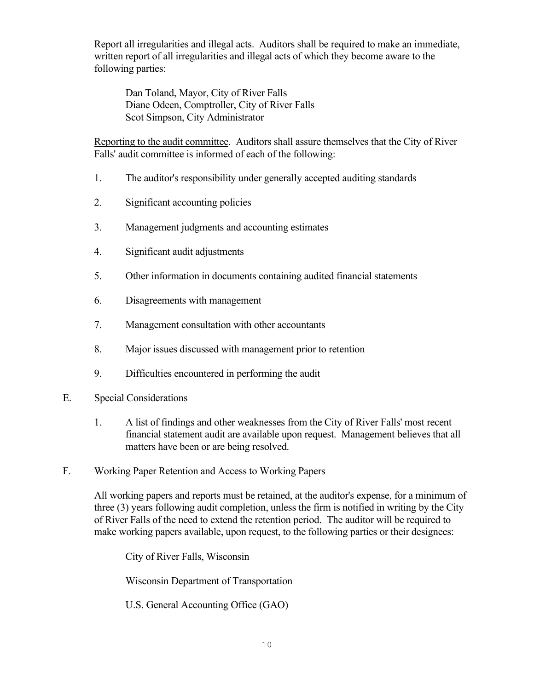Report all irregularities and illegal acts. Auditors shall be required to make an immediate, written report of all irregularities and illegal acts of which they become aware to the following parties:

Dan Toland, Mayor, City of River Falls Diane Odeen, Comptroller, City of River Falls Scot Simpson, City Administrator

Reporting to the audit committee. Auditors shall assure themselves that the City of River Falls' audit committee is informed of each of the following:

- 1. The auditor's responsibility under generally accepted auditing standards
- 2. Significant accounting policies
- 3. Management judgments and accounting estimates
- 4. Significant audit adjustments
- 5. Other information in documents containing audited financial statements
- 6. Disagreements with management
- 7. Management consultation with other accountants
- 8. Major issues discussed with management prior to retention
- 9. Difficulties encountered in performing the audit
- E. Special Considerations
	- 1. A list of findings and other weaknesses from the City of River Falls' most recent financial statement audit are available upon request. Management believes that all matters have been or are being resolved.
- F. Working Paper Retention and Access to Working Papers

All working papers and reports must be retained, at the auditor's expense, for a minimum of three (3) years following audit completion, unless the firm is notified in writing by the City of River Falls of the need to extend the retention period. The auditor will be required to make working papers available, upon request, to the following parties or their designees:

City of River Falls, Wisconsin

Wisconsin Department of Transportation

U.S. General Accounting Office (GAO)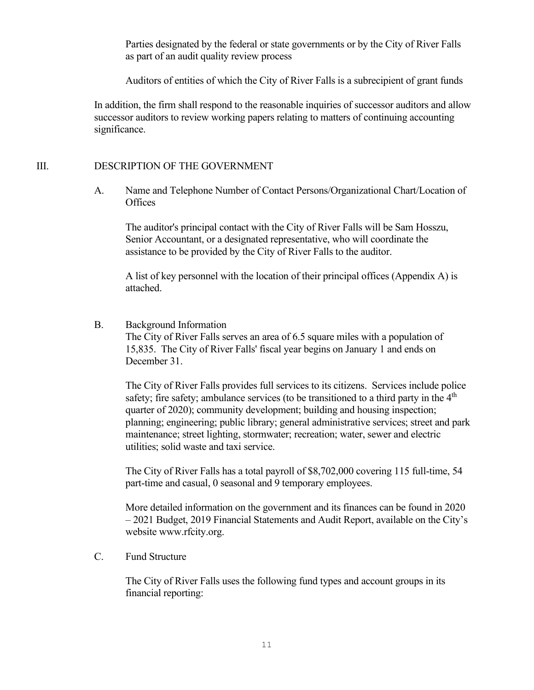Parties designated by the federal or state governments or by the City of River Falls as part of an audit quality review process

Auditors of entities of which the City of River Falls is a subrecipient of grant funds

In addition, the firm shall respond to the reasonable inquiries of successor auditors and allow successor auditors to review working papers relating to matters of continuing accounting significance.

# III. DESCRIPTION OF THE GOVERNMENT

A. Name and Telephone Number of Contact Persons/Organizational Chart/Location of **Offices** 

The auditor's principal contact with the City of River Falls will be Sam Hosszu, Senior Accountant, or a designated representative, who will coordinate the assistance to be provided by the City of River Falls to the auditor.

A list of key personnel with the location of their principal offices (Appendix A) is attached.

#### B. Background Information

The City of River Falls serves an area of 6.5 square miles with a population of 15,835. The City of River Falls' fiscal year begins on January 1 and ends on December 31.

The City of River Falls provides full services to its citizens. Services include police safety; fire safety; ambulance services (to be transitioned to a third party in the  $4<sup>th</sup>$ quarter of 2020); community development; building and housing inspection; planning; engineering; public library; general administrative services; street and park maintenance; street lighting, stormwater; recreation; water, sewer and electric utilities; solid waste and taxi service.

The City of River Falls has a total payroll of \$8,702,000 covering 115 full-time, 54 part-time and casual, 0 seasonal and 9 temporary employees.

More detailed information on the government and its finances can be found in 2020 – 2021 Budget, 2019 Financial Statements and Audit Report, available on the City's website www.rfcity.org.

## C. Fund Structure

The City of River Falls uses the following fund types and account groups in its financial reporting: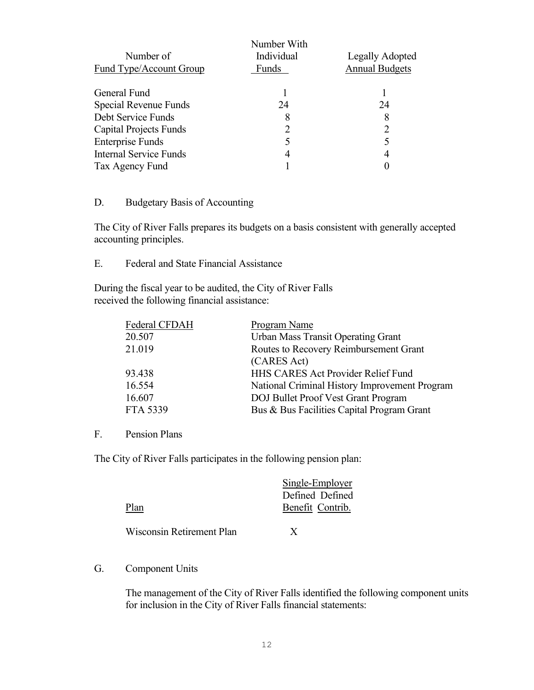|                               | Number With |                             |
|-------------------------------|-------------|-----------------------------|
| Number of                     | Individual  | Legally Adopted             |
| Fund Type/Account Group       | Funds       | <b>Annual Budgets</b>       |
| General Fund                  |             |                             |
| Special Revenue Funds         | 24          | 24                          |
| Debt Service Funds            | 8           | 8                           |
| <b>Capital Projects Funds</b> |             | $\mathcal{D}_{\mathcal{L}}$ |
| <b>Enterprise Funds</b>       |             |                             |
| <b>Internal Service Funds</b> |             | 4                           |
| Tax Agency Fund               |             |                             |

# D. Budgetary Basis of Accounting

The City of River Falls prepares its budgets on a basis consistent with generally accepted accounting principles.

E. Federal and State Financial Assistance

During the fiscal year to be audited, the City of River Falls received the following financial assistance:

| National Criminal History Improvement Program |
|-----------------------------------------------|
|                                               |
|                                               |
|                                               |

#### F. Pension Plans

The City of River Falls participates in the following pension plan:

|                           | Single-Employer<br>Defined Defined |
|---------------------------|------------------------------------|
| Plan                      | Benefit Contrib.                   |
| Wisconsin Retirement Plan | X                                  |

#### G. Component Units

The management of the City of River Falls identified the following component units for inclusion in the City of River Falls financial statements: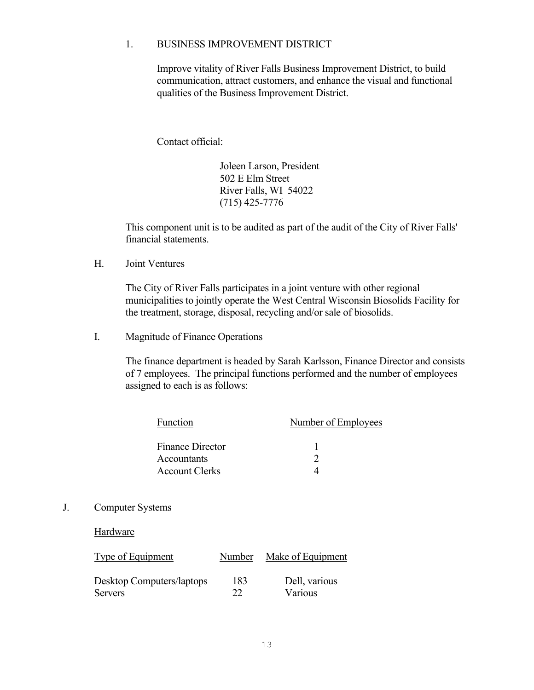#### 1. BUSINESS IMPROVEMENT DISTRICT

Improve vitality of River Falls Business Improvement District, to build communication, attract customers, and enhance the visual and functional qualities of the Business Improvement District.

Contact official:

Joleen Larson, President 502 E Elm Street River Falls, WI 54022 (715) 425-7776

This component unit is to be audited as part of the audit of the City of River Falls' financial statements.

H. Joint Ventures

The City of River Falls participates in a joint venture with other regional municipalities to jointly operate the West Central Wisconsin Biosolids Facility for the treatment, storage, disposal, recycling and/or sale of biosolids.

I. Magnitude of Finance Operations

The finance department is headed by Sarah Karlsson, Finance Director and consists of 7 employees. The principal functions performed and the number of employees assigned to each is as follows:

| Function                | Number of Employees |
|-------------------------|---------------------|
|                         |                     |
| <b>Finance Director</b> |                     |
| Accountants             |                     |
| <b>Account Clerks</b>   |                     |

J. Computer Systems

Hardware

| Type of Equipment         | Number | Make of Equipment |
|---------------------------|--------|-------------------|
| Desktop Computers/laptops | 183    | Dell, various     |
| <b>Servers</b>            | າາ     | Various           |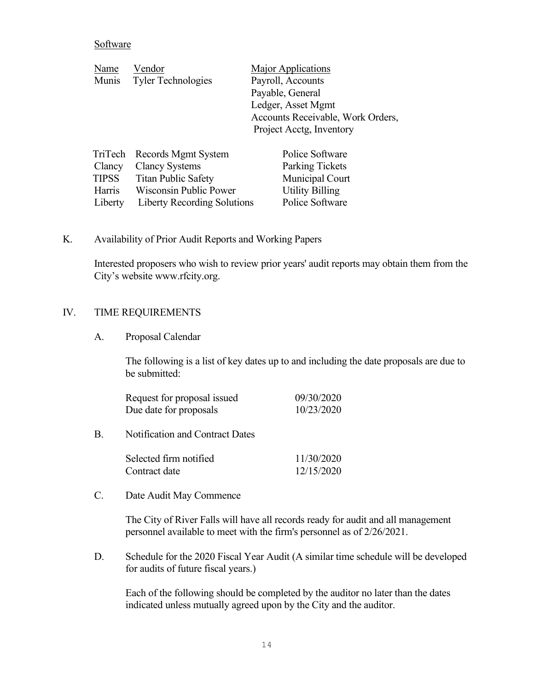#### Software

| Name   | Vendor                      | Major Applications                |
|--------|-----------------------------|-----------------------------------|
| Munis  | <b>Tyler Technologies</b>   | Payroll, Accounts                 |
|        |                             | Payable, General                  |
|        |                             | Ledger, Asset Mgmt                |
|        |                             | Accounts Receivable, Work Orders, |
|        |                             | Project Acctg, Inventory          |
|        | TriTech Records Mgmt System | Police Software                   |
| Clancy | <b>Clancy Systems</b>       | <b>Parking Tickets</b>            |

| TIPSS         | <b>Titan Public Safety</b>          | Municipal Court        |
|---------------|-------------------------------------|------------------------|
| <b>Harris</b> | Wisconsin Public Power              | <b>Utility Billing</b> |
|               | Liberty Liberty Recording Solutions | Police Software        |

#### K. Availability of Prior Audit Reports and Working Papers

Interested proposers who wish to review prior years' audit reports may obtain them from the City's website www.rfcity.org.

#### IV. TIME REQUIREMENTS

#### A. Proposal Calendar

The following is a list of key dates up to and including the date proposals are due to be submitted:

| Request for proposal issued | 09/30/2020 |
|-----------------------------|------------|
| Due date for proposals      | 10/23/2020 |

B. Notification and Contract Dates

| Selected firm notified | 11/30/2020 |
|------------------------|------------|
| Contract date          | 12/15/2020 |

#### C. Date Audit May Commence

The City of River Falls will have all records ready for audit and all management personnel available to meet with the firm's personnel as of 2/26/2021.

D. Schedule for the 2020 Fiscal Year Audit (A similar time schedule will be developed for audits of future fiscal years.)

Each of the following should be completed by the auditor no later than the dates indicated unless mutually agreed upon by the City and the auditor.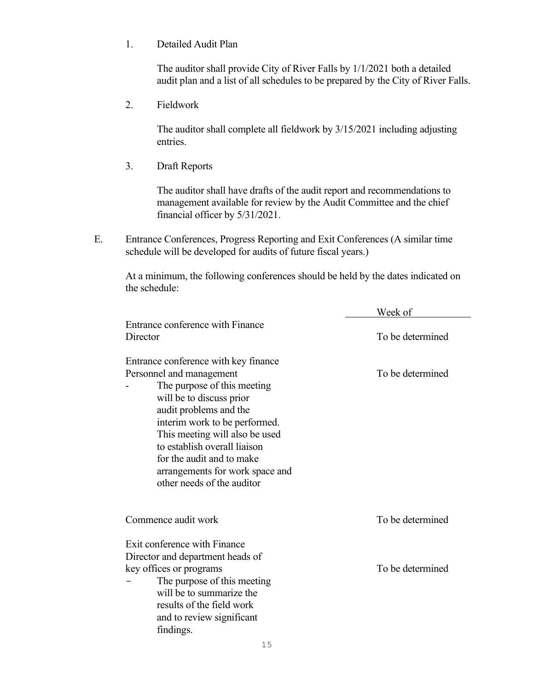1. Detailed Audit Plan

The auditor shall provide City of River Falls by 1/1/2021 both a detailed audit plan and a list of all schedules to be prepared by the City of River Falls.

2. Fieldwork

The auditor shall complete all fieldwork by 3/15/2021 including adjusting entries.

3. Draft Reports

The auditor shall have drafts of the audit report and recommendations to management available for review by the Audit Committee and the chief financial officer by 5/31/2021.

E. Entrance Conferences, Progress Reporting and Exit Conferences (A similar time schedule will be developed for audits of future fiscal years.)

At a minimum, the following conferences should be held by the dates indicated on the schedule:

|                                      | Week of          |
|--------------------------------------|------------------|
| Entrance conference with Finance     |                  |
| Director                             | To be determined |
| Entrance conference with key finance |                  |
| Personnel and management             | To be determined |
| The purpose of this meeting          |                  |
| will be to discuss prior             |                  |
| audit problems and the               |                  |
| interim work to be performed.        |                  |
| This meeting will also be used       |                  |
| to establish overall liaison         |                  |
| for the audit and to make            |                  |
| arrangements for work space and      |                  |
| other needs of the auditor           |                  |
|                                      |                  |
| Commence audit work                  | To be determined |
| Exit conference with Finance         |                  |
| Director and department heads of     |                  |
| key offices or programs              | To be determined |
| The purpose of this meeting          |                  |
| will be to summarize the             |                  |
| results of the field work            |                  |
| and to review significant            |                  |
| findings.                            |                  |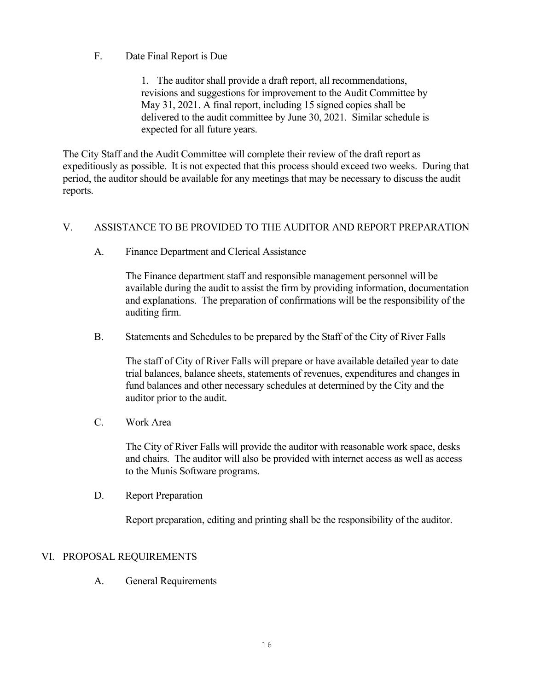# F. Date Final Report is Due

1. The auditor shall provide a draft report, all recommendations, revisions and suggestions for improvement to the Audit Committee by May 31, 2021. A final report, including 15 signed copies shall be delivered to the audit committee by June 30, 2021. Similar schedule is expected for all future years.

The City Staff and the Audit Committee will complete their review of the draft report as expeditiously as possible. It is not expected that this process should exceed two weeks. During that period, the auditor should be available for any meetings that may be necessary to discuss the audit reports.

### V. ASSISTANCE TO BE PROVIDED TO THE AUDITOR AND REPORT PREPARATION

A. Finance Department and Clerical Assistance

The Finance department staff and responsible management personnel will be available during the audit to assist the firm by providing information, documentation and explanations. The preparation of confirmations will be the responsibility of the auditing firm.

B. Statements and Schedules to be prepared by the Staff of the City of River Falls

The staff of City of River Falls will prepare or have available detailed year to date trial balances, balance sheets, statements of revenues, expenditures and changes in fund balances and other necessary schedules at determined by the City and the auditor prior to the audit.

C. Work Area

The City of River Falls will provide the auditor with reasonable work space, desks and chairs. The auditor will also be provided with internet access as well as access to the Munis Software programs.

D. Report Preparation

Report preparation, editing and printing shall be the responsibility of the auditor.

# VI. PROPOSAL REQUIREMENTS

A. General Requirements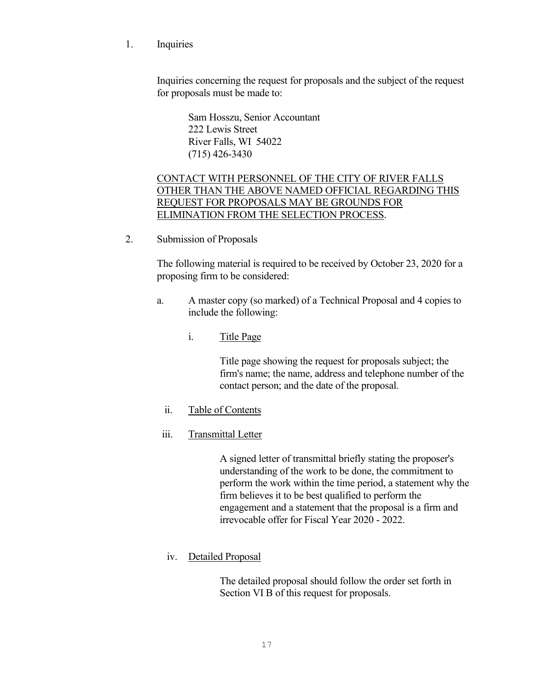1. Inquiries

Inquiries concerning the request for proposals and the subject of the request for proposals must be made to:

> Sam Hosszu, Senior Accountant 222 Lewis Street River Falls, WI 54022 (715) 426-3430

# CONTACT WITH PERSONNEL OF THE CITY OF RIVER FALLS OTHER THAN THE ABOVE NAMED OFFICIAL REGARDING THIS REQUEST FOR PROPOSALS MAY BE GROUNDS FOR ELIMINATION FROM THE SELECTION PROCESS.

2. Submission of Proposals

The following material is required to be received by October 23, 2020 for a proposing firm to be considered:

- a. A master copy (so marked) of a Technical Proposal and 4 copies to include the following:
	- i. Title Page

Title page showing the request for proposals subject; the firm's name; the name, address and telephone number of the contact person; and the date of the proposal.

#### ii. Table of Contents

#### iii. Transmittal Letter

A signed letter of transmittal briefly stating the proposer's understanding of the work to be done, the commitment to perform the work within the time period, a statement why the firm believes it to be best qualified to perform the engagement and a statement that the proposal is a firm and irrevocable offer for Fiscal Year 2020 - 2022.

#### iv. Detailed Proposal

The detailed proposal should follow the order set forth in Section VI B of this request for proposals.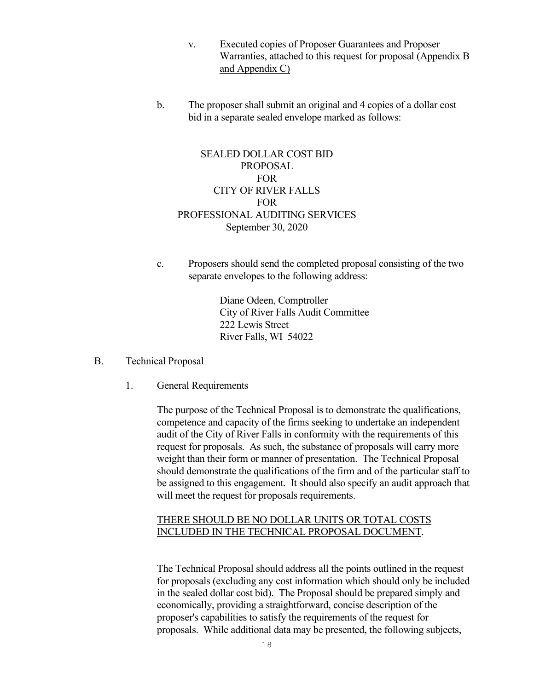- v. Executed copies of Proposer Guarantees and Proposer Warranties, attached to this request for proposal (Appendix B and Appendix C)
- b. The proposer shall submit an original and 4 copies of a dollar cost bid in a separate sealed envelope marked as follows:

# SEALED DOLLAR COST BID PROPOSAL FOR CITY OF RIVER FALLS FOR PROFESSIONAL AUDITING SERVICES September 30, 2020

c. Proposers should send the completed proposal consisting of the two separate envelopes to the following address:

> Diane Odeen, Comptroller City of River Falls Audit Committee 222 Lewis Street River Falls, WI 54022

- B. Technical Proposal
	- 1. General Requirements

The purpose of the Technical Proposal is to demonstrate the qualifications, competence and capacity of the firms seeking to undertake an independent audit of the City of River Falls in conformity with the requirements of this request for proposals. As such, the substance of proposals will carry more weight than their form or manner of presentation. The Technical Proposal should demonstrate the qualifications of the firm and of the particular staff to be assigned to this engagement. It should also specify an audit approach that will meet the request for proposals requirements.

#### THERE SHOULD BE NO DOLLAR UNITS OR TOTAL COSTS INCLUDED IN THE TECHNICAL PROPOSAL DOCUMENT.

The Technical Proposal should address all the points outlined in the request for proposals (excluding any cost information which should only be included in the sealed dollar cost bid). The Proposal should be prepared simply and economically, providing a straightforward, concise description of the proposer's capabilities to satisfy the requirements of the request for proposals. While additional data may be presented, the following subjects,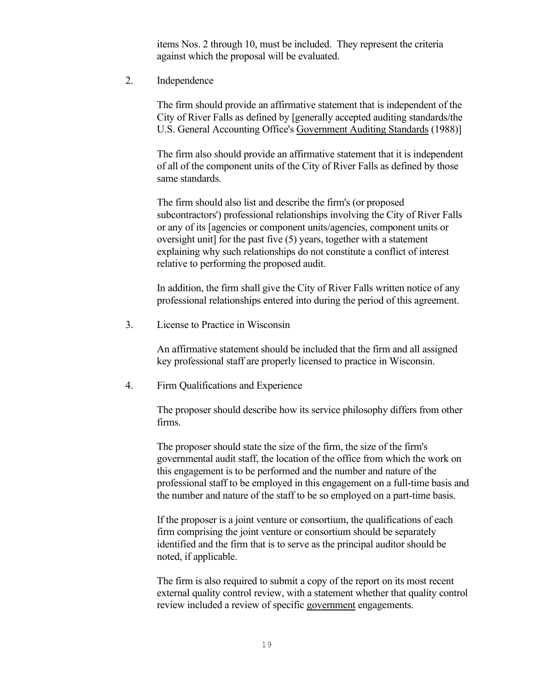items Nos. 2 through 10, must be included. They represent the criteria against which the proposal will be evaluated.

2. Independence

The firm should provide an affirmative statement that is independent of the City of River Falls as defined by [generally accepted auditing standards/the U.S. General Accounting Office's Government Auditing Standards (1988)]

The firm also should provide an affirmative statement that it is independent of all of the component units of the City of River Falls as defined by those same standards.

The firm should also list and describe the firm's (or proposed subcontractors') professional relationships involving the City of River Falls or any of its [agencies or component units/agencies, component units or oversight unit] for the past five (5) years, together with a statement explaining why such relationships do not constitute a conflict of interest relative to performing the proposed audit.

In addition, the firm shall give the City of River Falls written notice of any professional relationships entered into during the period of this agreement.

3. License to Practice in Wisconsin

An affirmative statement should be included that the firm and all assigned key professional staff are properly licensed to practice in Wisconsin.

4. Firm Qualifications and Experience

The proposer should describe how its service philosophy differs from other firms.

The proposer should state the size of the firm, the size of the firm's governmental audit staff, the location of the office from which the work on this engagement is to be performed and the number and nature of the professional staff to be employed in this engagement on a full-time basis and the number and nature of the staff to be so employed on a part-time basis.

If the proposer is a joint venture or consortium, the qualifications of each firm comprising the joint venture or consortium should be separately identified and the firm that is to serve as the principal auditor should be noted, if applicable.

The firm is also required to submit a copy of the report on its most recent external quality control review, with a statement whether that quality control review included a review of specific government engagements.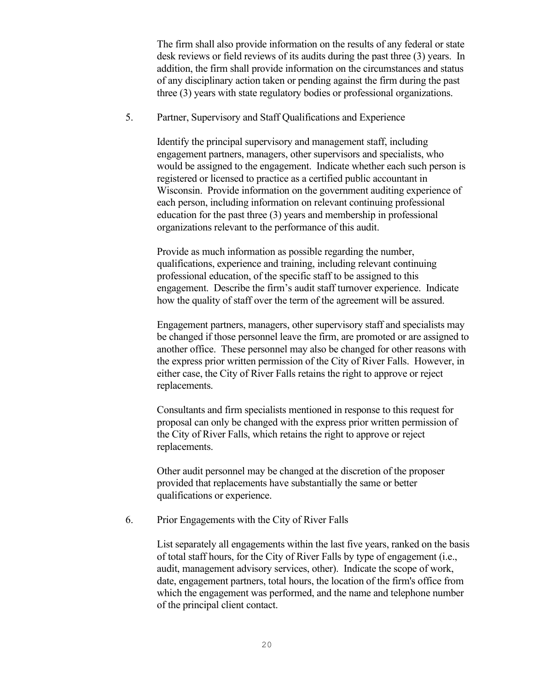The firm shall also provide information on the results of any federal or state desk reviews or field reviews of its audits during the past three (3) years. In addition, the firm shall provide information on the circumstances and status of any disciplinary action taken or pending against the firm during the past three (3) years with state regulatory bodies or professional organizations.

5. Partner, Supervisory and Staff Qualifications and Experience

Identify the principal supervisory and management staff, including engagement partners, managers, other supervisors and specialists, who would be assigned to the engagement. Indicate whether each such person is registered or licensed to practice as a certified public accountant in Wisconsin. Provide information on the government auditing experience of each person, including information on relevant continuing professional education for the past three (3) years and membership in professional organizations relevant to the performance of this audit.

Provide as much information as possible regarding the number, qualifications, experience and training, including relevant continuing professional education, of the specific staff to be assigned to this engagement. Describe the firm's audit staff turnover experience. Indicate how the quality of staff over the term of the agreement will be assured.

Engagement partners, managers, other supervisory staff and specialists may be changed if those personnel leave the firm, are promoted or are assigned to another office. These personnel may also be changed for other reasons with the express prior written permission of the City of River Falls. However, in either case, the City of River Falls retains the right to approve or reject replacements.

Consultants and firm specialists mentioned in response to this request for proposal can only be changed with the express prior written permission of the City of River Falls, which retains the right to approve or reject replacements.

Other audit personnel may be changed at the discretion of the proposer provided that replacements have substantially the same or better qualifications or experience.

6. Prior Engagements with the City of River Falls

List separately all engagements within the last five years, ranked on the basis of total staff hours, for the City of River Falls by type of engagement (i.e., audit, management advisory services, other). Indicate the scope of work, date, engagement partners, total hours, the location of the firm's office from which the engagement was performed, and the name and telephone number of the principal client contact.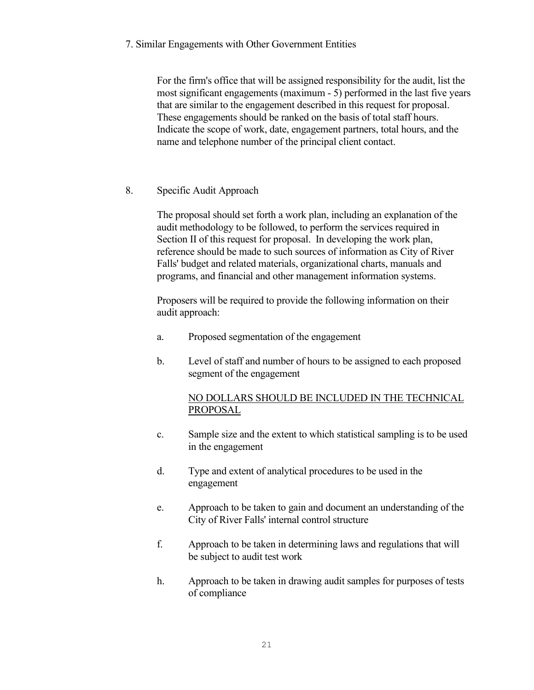7. Similar Engagements with Other Government Entities

For the firm's office that will be assigned responsibility for the audit, list the most significant engagements (maximum - 5) performed in the last five years that are similar to the engagement described in this request for proposal. These engagements should be ranked on the basis of total staff hours. Indicate the scope of work, date, engagement partners, total hours, and the name and telephone number of the principal client contact.

8. Specific Audit Approach

The proposal should set forth a work plan, including an explanation of the audit methodology to be followed, to perform the services required in Section II of this request for proposal. In developing the work plan, reference should be made to such sources of information as City of River Falls' budget and related materials, organizational charts, manuals and programs, and financial and other management information systems.

Proposers will be required to provide the following information on their audit approach:

- a. Proposed segmentation of the engagement
- b. Level of staff and number of hours to be assigned to each proposed segment of the engagement

# NO DOLLARS SHOULD BE INCLUDED IN THE TECHNICAL PROPOSAL

- c. Sample size and the extent to which statistical sampling is to be used in the engagement
- d. Type and extent of analytical procedures to be used in the engagement
- e. Approach to be taken to gain and document an understanding of the City of River Falls' internal control structure
- f. Approach to be taken in determining laws and regulations that will be subject to audit test work
- h. Approach to be taken in drawing audit samples for purposes of tests of compliance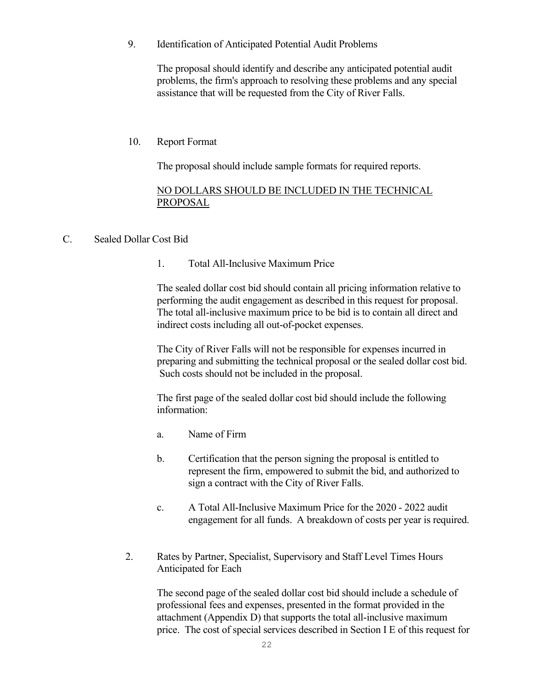9. Identification of Anticipated Potential Audit Problems

The proposal should identify and describe any anticipated potential audit problems, the firm's approach to resolving these problems and any special assistance that will be requested from the City of River Falls.

### 10. Report Format

The proposal should include sample formats for required reports.

#### NO DOLLARS SHOULD BE INCLUDED IN THE TECHNICAL PROPOSAL

#### C. Sealed Dollar Cost Bid

### 1. Total All-Inclusive Maximum Price

The sealed dollar cost bid should contain all pricing information relative to performing the audit engagement as described in this request for proposal. The total all-inclusive maximum price to be bid is to contain all direct and indirect costs including all out-of-pocket expenses.

The City of River Falls will not be responsible for expenses incurred in preparing and submitting the technical proposal or the sealed dollar cost bid. Such costs should not be included in the proposal.

The first page of the sealed dollar cost bid should include the following information:

- a. Name of Firm
- b. Certification that the person signing the proposal is entitled to represent the firm, empowered to submit the bid, and authorized to sign a contract with the City of River Falls.
- c. A Total All-Inclusive Maximum Price for the 2020 2022 audit engagement for all funds. A breakdown of costs per year is required.
- 2. Rates by Partner, Specialist, Supervisory and Staff Level Times Hours Anticipated for Each

The second page of the sealed dollar cost bid should include a schedule of professional fees and expenses, presented in the format provided in the attachment (Appendix D) that supports the total all-inclusive maximum price. The cost of special services described in Section I E of this request for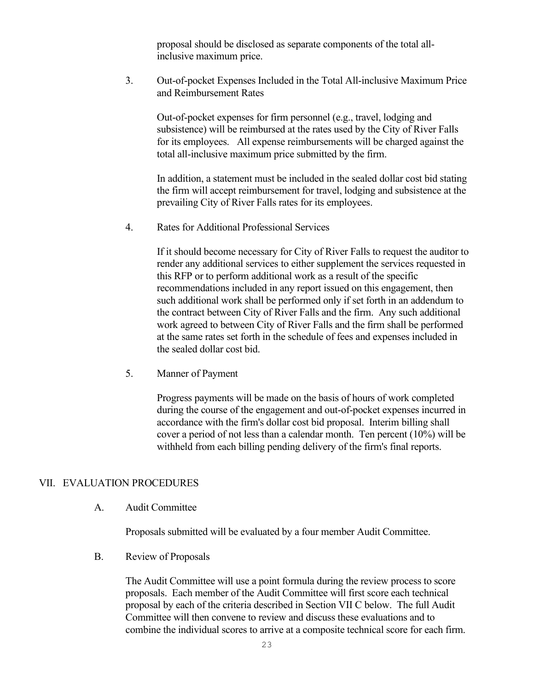proposal should be disclosed as separate components of the total allinclusive maximum price.

3. Out-of-pocket Expenses Included in the Total All-inclusive Maximum Price and Reimbursement Rates

Out-of-pocket expenses for firm personnel (e.g., travel, lodging and subsistence) will be reimbursed at the rates used by the City of River Falls for its employees. All expense reimbursements will be charged against the total all-inclusive maximum price submitted by the firm.

In addition, a statement must be included in the sealed dollar cost bid stating the firm will accept reimbursement for travel, lodging and subsistence at the prevailing City of River Falls rates for its employees.

4. Rates for Additional Professional Services

If it should become necessary for City of River Falls to request the auditor to render any additional services to either supplement the services requested in this RFP or to perform additional work as a result of the specific recommendations included in any report issued on this engagement, then such additional work shall be performed only if set forth in an addendum to the contract between City of River Falls and the firm. Any such additional work agreed to between City of River Falls and the firm shall be performed at the same rates set forth in the schedule of fees and expenses included in the sealed dollar cost bid.

5. Manner of Payment

Progress payments will be made on the basis of hours of work completed during the course of the engagement and out-of-pocket expenses incurred in accordance with the firm's dollar cost bid proposal. Interim billing shall cover a period of not less than a calendar month. Ten percent (10%) will be withheld from each billing pending delivery of the firm's final reports.

#### VII. EVALUATION PROCEDURES

A. Audit Committee

Proposals submitted will be evaluated by a four member Audit Committee.

B. Review of Proposals

The Audit Committee will use a point formula during the review process to score proposals. Each member of the Audit Committee will first score each technical proposal by each of the criteria described in Section VII C below. The full Audit Committee will then convene to review and discuss these evaluations and to combine the individual scores to arrive at a composite technical score for each firm.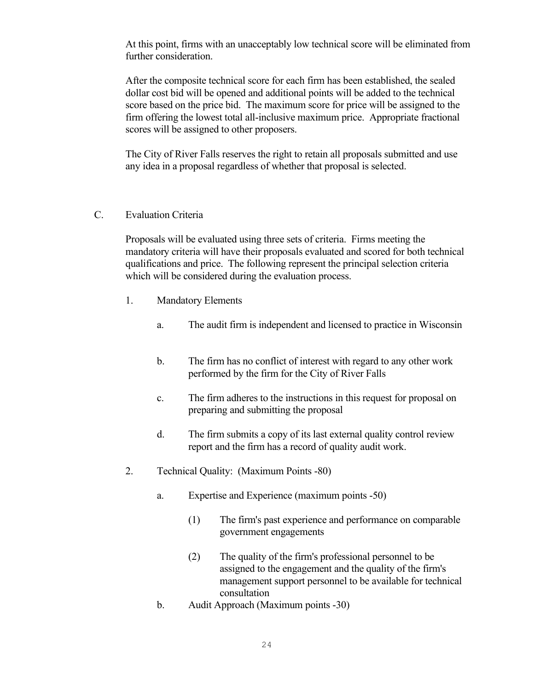At this point, firms with an unacceptably low technical score will be eliminated from further consideration.

After the composite technical score for each firm has been established, the sealed dollar cost bid will be opened and additional points will be added to the technical score based on the price bid. The maximum score for price will be assigned to the firm offering the lowest total all-inclusive maximum price. Appropriate fractional scores will be assigned to other proposers.

The City of River Falls reserves the right to retain all proposals submitted and use any idea in a proposal regardless of whether that proposal is selected.

#### C. Evaluation Criteria

Proposals will be evaluated using three sets of criteria. Firms meeting the mandatory criteria will have their proposals evaluated and scored for both technical qualifications and price. The following represent the principal selection criteria which will be considered during the evaluation process.

- 1. Mandatory Elements
	- a. The audit firm is independent and licensed to practice in Wisconsin
	- b. The firm has no conflict of interest with regard to any other work performed by the firm for the City of River Falls
	- c. The firm adheres to the instructions in this request for proposal on preparing and submitting the proposal
	- d. The firm submits a copy of its last external quality control review report and the firm has a record of quality audit work.
- 2. Technical Quality: (Maximum Points -80)
	- a. Expertise and Experience (maximum points -50)
		- (1) The firm's past experience and performance on comparable government engagements
		- (2) The quality of the firm's professional personnel to be assigned to the engagement and the quality of the firm's management support personnel to be available for technical consultation
	- b. Audit Approach (Maximum points -30)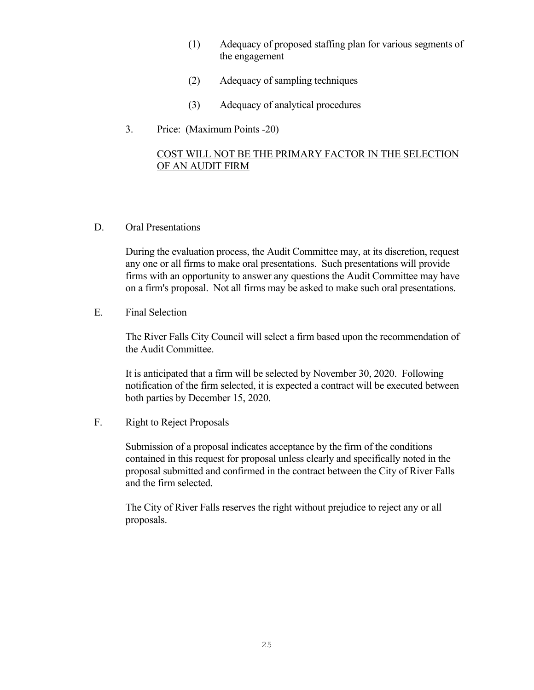- (1) Adequacy of proposed staffing plan for various segments of the engagement
- (2) Adequacy of sampling techniques
- (3) Adequacy of analytical procedures
- 3. Price: (Maximum Points -20)

# COST WILL NOT BE THE PRIMARY FACTOR IN THE SELECTION OF AN AUDIT FIRM

D. Oral Presentations

During the evaluation process, the Audit Committee may, at its discretion, request any one or all firms to make oral presentations. Such presentations will provide firms with an opportunity to answer any questions the Audit Committee may have on a firm's proposal. Not all firms may be asked to make such oral presentations.

E. Final Selection

The River Falls City Council will select a firm based upon the recommendation of the Audit Committee.

It is anticipated that a firm will be selected by November 30, 2020. Following notification of the firm selected, it is expected a contract will be executed between both parties by December 15, 2020.

F. Right to Reject Proposals

Submission of a proposal indicates acceptance by the firm of the conditions contained in this request for proposal unless clearly and specifically noted in the proposal submitted and confirmed in the contract between the City of River Falls and the firm selected.

The City of River Falls reserves the right without prejudice to reject any or all proposals.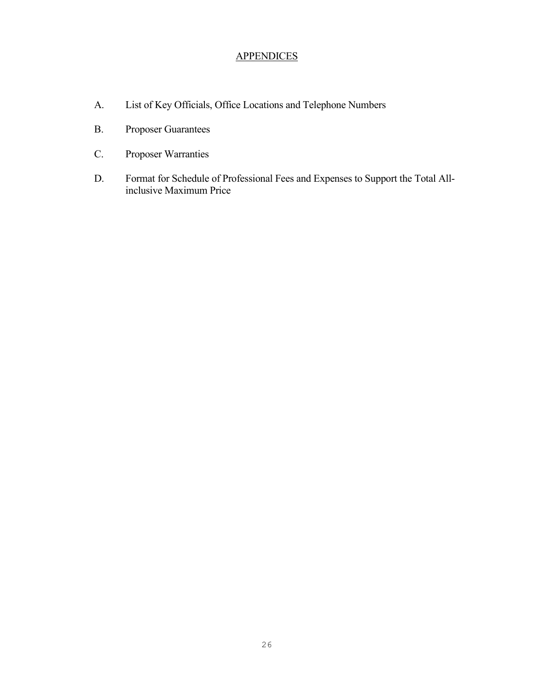# **APPENDICES**

- A. List of Key Officials, Office Locations and Telephone Numbers
- B. Proposer Guarantees
- C. Proposer Warranties
- D. Format for Schedule of Professional Fees and Expenses to Support the Total Allinclusive Maximum Price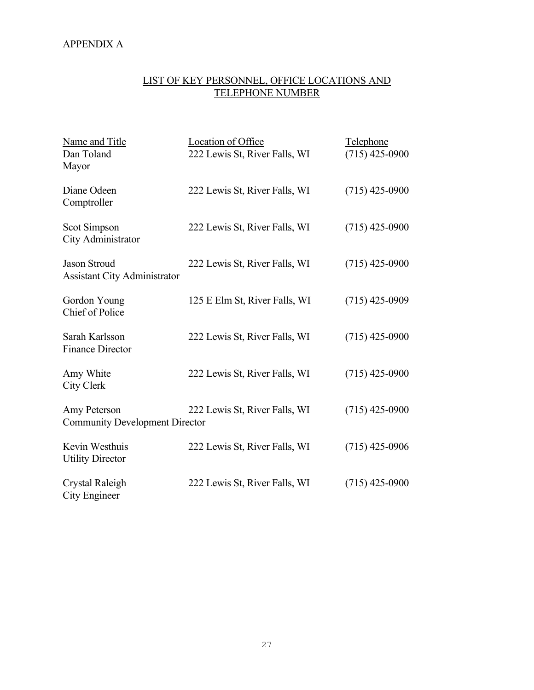# APPENDIX A

# LIST OF KEY PERSONNEL, OFFICE LOCATIONS AND TELEPHONE NUMBER

| Name and Title<br>Dan Toland<br>Mayor                      | Location of Office<br>222 Lewis St, River Falls, WI | Telephone<br>$(715)$ 425-0900 |
|------------------------------------------------------------|-----------------------------------------------------|-------------------------------|
| Diane Odeen<br>Comptroller                                 | 222 Lewis St, River Falls, WI                       | $(715)$ 425-0900              |
| Scot Simpson<br>City Administrator                         | 222 Lewis St, River Falls, WI                       | $(715)$ 425-0900              |
| <b>Jason Stroud</b><br><b>Assistant City Administrator</b> | 222 Lewis St, River Falls, WI                       | $(715)$ 425-0900              |
| Gordon Young<br>Chief of Police                            | 125 E Elm St, River Falls, WI                       | $(715)$ 425-0909              |
| Sarah Karlsson<br><b>Finance Director</b>                  | 222 Lewis St, River Falls, WI                       | $(715)$ 425-0900              |
| Amy White<br>City Clerk                                    | 222 Lewis St, River Falls, WI                       | $(715)$ 425-0900              |
| Amy Peterson<br><b>Community Development Director</b>      | 222 Lewis St, River Falls, WI                       | $(715)$ 425-0900              |
| Kevin Westhuis<br><b>Utility Director</b>                  | 222 Lewis St, River Falls, WI                       | $(715)$ 425-0906              |
| Crystal Raleigh<br>City Engineer                           | 222 Lewis St, River Falls, WI                       | $(715)$ 425-0900              |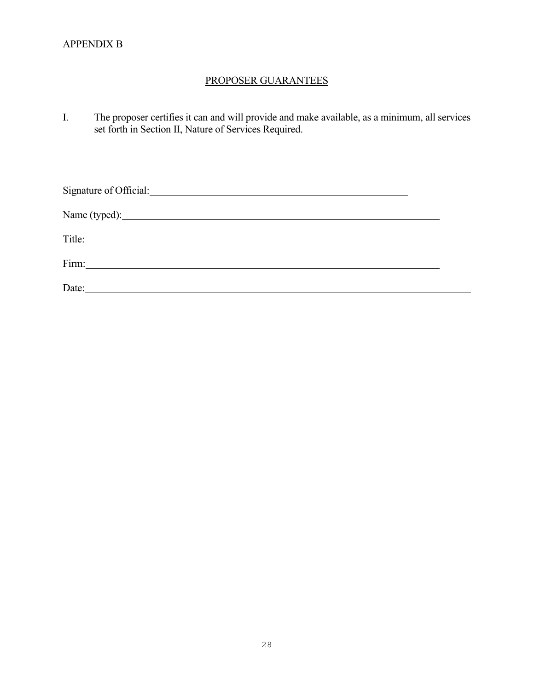# APPENDIX B

# PROPOSER GUARANTEES

I. The proposer certifies it can and will provide and make available, as a minimum, all services set forth in Section II, Nature of Services Required.

| Signature of Official: <u>contract and the set of the set of official</u> |  |
|---------------------------------------------------------------------------|--|
|                                                                           |  |
|                                                                           |  |
| Firm:<br><u> 1989 - Andrea State Barbara, política establece</u>          |  |
| Date:                                                                     |  |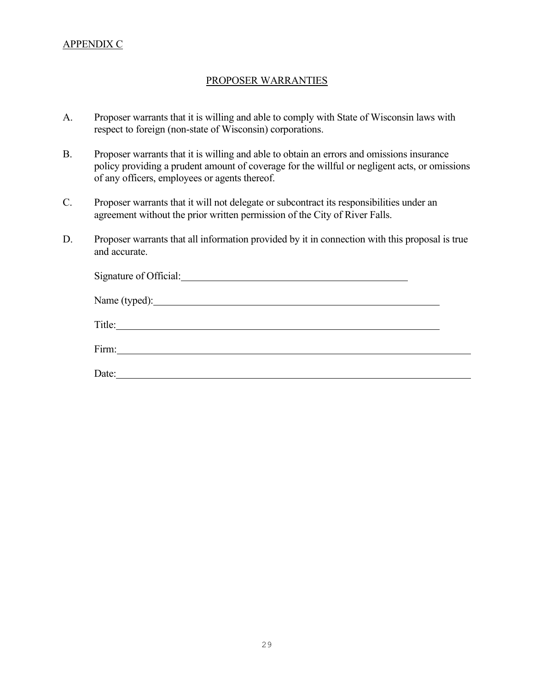# APPENDIX C

#### PROPOSER WARRANTIES

- A. Proposer warrants that it is willing and able to comply with State of Wisconsin laws with respect to foreign (non-state of Wisconsin) corporations.
- B. Proposer warrants that it is willing and able to obtain an errors and omissions insurance policy providing a prudent amount of coverage for the willful or negligent acts, or omissions of any officers, employees or agents thereof.
- C. Proposer warrants that it will not delegate or subcontract its responsibilities under an agreement without the prior written permission of the City of River Falls.
- D. Proposer warrants that all information provided by it in connection with this proposal is true and accurate.

| Name (typed): |  |
|---------------|--|
|               |  |
|               |  |
| Date:         |  |